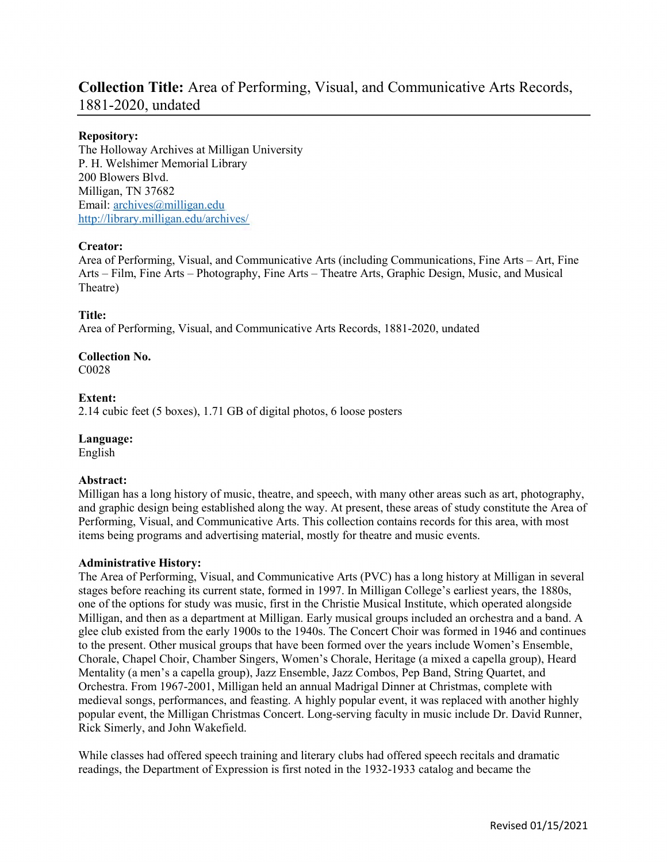## Collection Title: Area of Performing, Visual, and Communicative Arts Records, 1881-2020, undated

## Repository:

The Holloway Archives at Milligan University P. H. Welshimer Memorial Library 200 Blowers Blvd. Milligan, TN 37682 Email: archives@milligan.edu http://library.milligan.edu/archives/

## Creator:

Area of Performing, Visual, and Communicative Arts (including Communications, Fine Arts – Art, Fine Arts – Film, Fine Arts – Photography, Fine Arts – Theatre Arts, Graphic Design, Music, and Musical Theatre)

## Title:

Area of Performing, Visual, and Communicative Arts Records, 1881-2020, undated

# Collection No.

C0028

## Extent:

2.14 cubic feet (5 boxes), 1.71 GB of digital photos, 6 loose posters

## Language:

English

## Abstract:

Milligan has a long history of music, theatre, and speech, with many other areas such as art, photography, and graphic design being established along the way. At present, these areas of study constitute the Area of Performing, Visual, and Communicative Arts. This collection contains records for this area, with most items being programs and advertising material, mostly for theatre and music events.

## Administrative History:

The Area of Performing, Visual, and Communicative Arts (PVC) has a long history at Milligan in several stages before reaching its current state, formed in 1997. In Milligan College's earliest years, the 1880s, one of the options for study was music, first in the Christie Musical Institute, which operated alongside Milligan, and then as a department at Milligan. Early musical groups included an orchestra and a band. A glee club existed from the early 1900s to the 1940s. The Concert Choir was formed in 1946 and continues to the present. Other musical groups that have been formed over the years include Women's Ensemble, Chorale, Chapel Choir, Chamber Singers, Women's Chorale, Heritage (a mixed a capella group), Heard Mentality (a men's a capella group), Jazz Ensemble, Jazz Combos, Pep Band, String Quartet, and Orchestra. From 1967-2001, Milligan held an annual Madrigal Dinner at Christmas, complete with medieval songs, performances, and feasting. A highly popular event, it was replaced with another highly popular event, the Milligan Christmas Concert. Long-serving faculty in music include Dr. David Runner, Rick Simerly, and John Wakefield.

While classes had offered speech training and literary clubs had offered speech recitals and dramatic readings, the Department of Expression is first noted in the 1932-1933 catalog and became the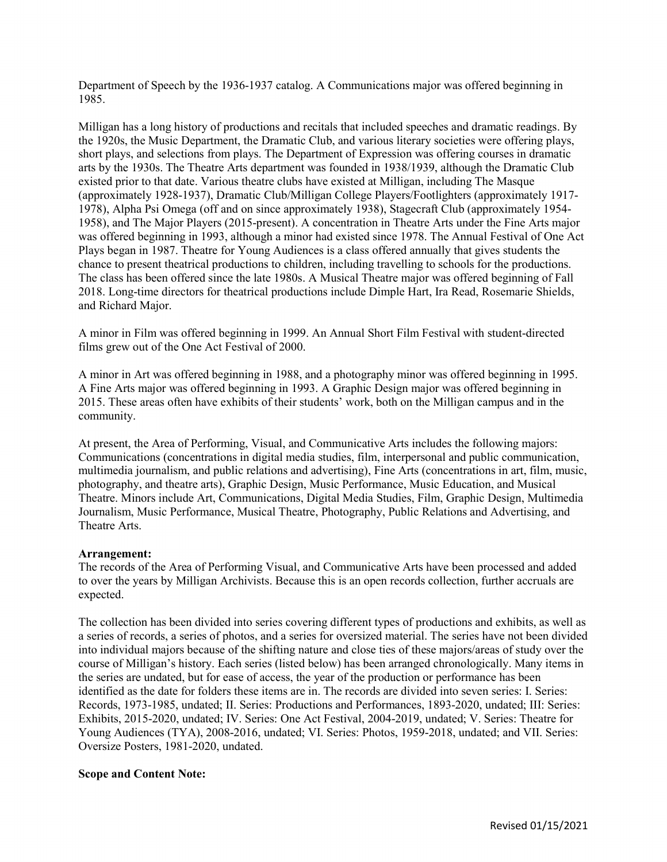Department of Speech by the 1936-1937 catalog. A Communications major was offered beginning in 1985.

Milligan has a long history of productions and recitals that included speeches and dramatic readings. By the 1920s, the Music Department, the Dramatic Club, and various literary societies were offering plays, short plays, and selections from plays. The Department of Expression was offering courses in dramatic arts by the 1930s. The Theatre Arts department was founded in 1938/1939, although the Dramatic Club existed prior to that date. Various theatre clubs have existed at Milligan, including The Masque (approximately 1928-1937), Dramatic Club/Milligan College Players/Footlighters (approximately 1917- 1978), Alpha Psi Omega (off and on since approximately 1938), Stagecraft Club (approximately 1954- 1958), and The Major Players (2015-present). A concentration in Theatre Arts under the Fine Arts major was offered beginning in 1993, although a minor had existed since 1978. The Annual Festival of One Act Plays began in 1987. Theatre for Young Audiences is a class offered annually that gives students the chance to present theatrical productions to children, including travelling to schools for the productions. The class has been offered since the late 1980s. A Musical Theatre major was offered beginning of Fall 2018. Long-time directors for theatrical productions include Dimple Hart, Ira Read, Rosemarie Shields, and Richard Major.

A minor in Film was offered beginning in 1999. An Annual Short Film Festival with student-directed films grew out of the One Act Festival of 2000.

A minor in Art was offered beginning in 1988, and a photography minor was offered beginning in 1995. A Fine Arts major was offered beginning in 1993. A Graphic Design major was offered beginning in 2015. These areas often have exhibits of their students' work, both on the Milligan campus and in the community.

At present, the Area of Performing, Visual, and Communicative Arts includes the following majors: Communications (concentrations in digital media studies, film, interpersonal and public communication, multimedia journalism, and public relations and advertising), Fine Arts (concentrations in art, film, music, photography, and theatre arts), Graphic Design, Music Performance, Music Education, and Musical Theatre. Minors include Art, Communications, Digital Media Studies, Film, Graphic Design, Multimedia Journalism, Music Performance, Musical Theatre, Photography, Public Relations and Advertising, and Theatre Arts.

#### Arrangement:

The records of the Area of Performing Visual, and Communicative Arts have been processed and added to over the years by Milligan Archivists. Because this is an open records collection, further accruals are expected.

The collection has been divided into series covering different types of productions and exhibits, as well as a series of records, a series of photos, and a series for oversized material. The series have not been divided into individual majors because of the shifting nature and close ties of these majors/areas of study over the course of Milligan's history. Each series (listed below) has been arranged chronologically. Many items in the series are undated, but for ease of access, the year of the production or performance has been identified as the date for folders these items are in. The records are divided into seven series: I. Series: Records, 1973-1985, undated; II. Series: Productions and Performances, 1893-2020, undated; III: Series: Exhibits, 2015-2020, undated; IV. Series: One Act Festival, 2004-2019, undated; V. Series: Theatre for Young Audiences (TYA), 2008-2016, undated; VI. Series: Photos, 1959-2018, undated; and VII. Series: Oversize Posters, 1981-2020, undated.

#### Scope and Content Note: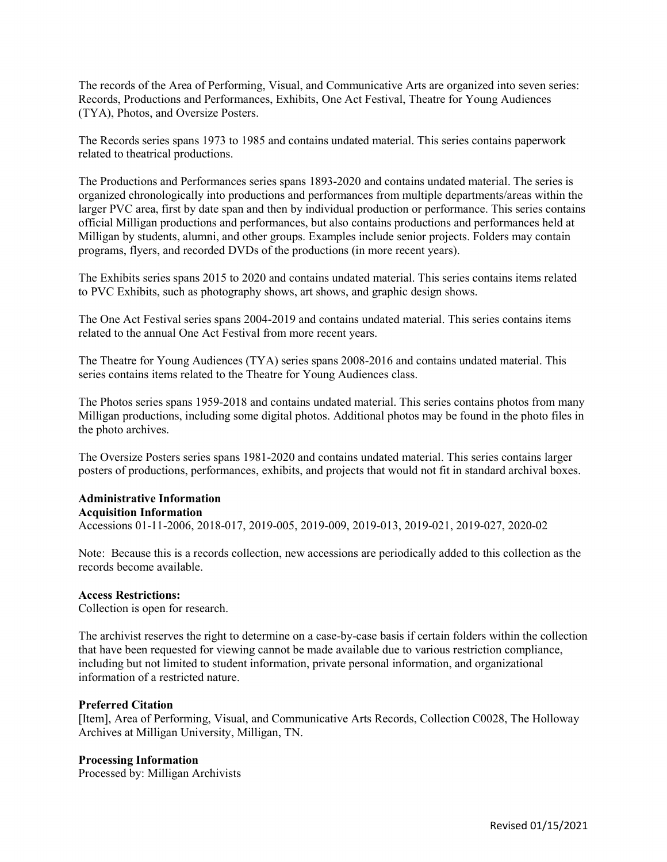The records of the Area of Performing, Visual, and Communicative Arts are organized into seven series: Records, Productions and Performances, Exhibits, One Act Festival, Theatre for Young Audiences (TYA), Photos, and Oversize Posters.

The Records series spans 1973 to 1985 and contains undated material. This series contains paperwork related to theatrical productions.

The Productions and Performances series spans 1893-2020 and contains undated material. The series is organized chronologically into productions and performances from multiple departments/areas within the larger PVC area, first by date span and then by individual production or performance. This series contains official Milligan productions and performances, but also contains productions and performances held at Milligan by students, alumni, and other groups. Examples include senior projects. Folders may contain programs, flyers, and recorded DVDs of the productions (in more recent years).

The Exhibits series spans 2015 to 2020 and contains undated material. This series contains items related to PVC Exhibits, such as photography shows, art shows, and graphic design shows.

The One Act Festival series spans 2004-2019 and contains undated material. This series contains items related to the annual One Act Festival from more recent years.

The Theatre for Young Audiences (TYA) series spans 2008-2016 and contains undated material. This series contains items related to the Theatre for Young Audiences class.

The Photos series spans 1959-2018 and contains undated material. This series contains photos from many Milligan productions, including some digital photos. Additional photos may be found in the photo files in the photo archives.

The Oversize Posters series spans 1981-2020 and contains undated material. This series contains larger posters of productions, performances, exhibits, and projects that would not fit in standard archival boxes.

## Administrative Information

#### Acquisition Information

Accessions 01-11-2006, 2018-017, 2019-005, 2019-009, 2019-013, 2019-021, 2019-027, 2020-02

Note: Because this is a records collection, new accessions are periodically added to this collection as the records become available.

#### Access Restrictions:

Collection is open for research.

The archivist reserves the right to determine on a case-by-case basis if certain folders within the collection that have been requested for viewing cannot be made available due to various restriction compliance, including but not limited to student information, private personal information, and organizational information of a restricted nature.

#### Preferred Citation

[Item], Area of Performing, Visual, and Communicative Arts Records, Collection C0028, The Holloway Archives at Milligan University, Milligan, TN.

## Processing Information

Processed by: Milligan Archivists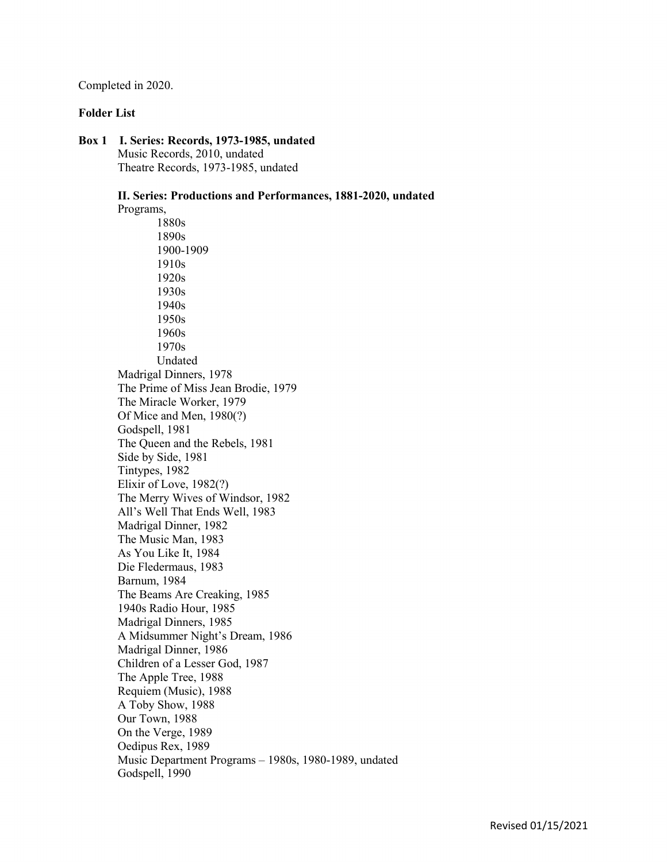Completed in 2020.

#### Folder List

Box 1 I. Series: Records, 1973-1985, undated Music Records, 2010, undated Theatre Records, 1973-1985, undated

> II. Series: Productions and Performances, 1881-2020, undated Programs, 1880s 1890s 1900-1909 1910s 1920s 1930s 1940s 1950s 1960s 1970s Undated Madrigal Dinners, 1978 The Prime of Miss Jean Brodie, 1979 The Miracle Worker, 1979 Of Mice and Men, 1980(?) Godspell, 1981 The Queen and the Rebels, 1981 Side by Side, 1981 Tintypes, 1982 Elixir of Love, 1982(?) The Merry Wives of Windsor, 1982 All's Well That Ends Well, 1983 Madrigal Dinner, 1982 The Music Man, 1983 As You Like It, 1984 Die Fledermaus, 1983 Barnum, 1984 The Beams Are Creaking, 1985 1940s Radio Hour, 1985 Madrigal Dinners, 1985 A Midsummer Night's Dream, 1986 Madrigal Dinner, 1986 Children of a Lesser God, 1987 The Apple Tree, 1988 Requiem (Music), 1988 A Toby Show, 1988 Our Town, 1988 On the Verge, 1989 Oedipus Rex, 1989

 Music Department Programs – 1980s, 1980-1989, undated Godspell, 1990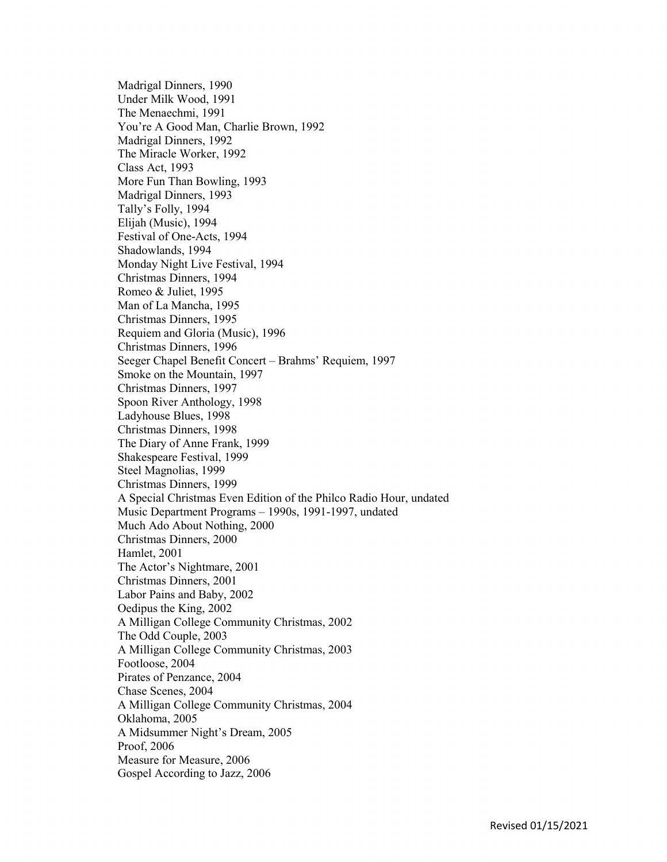Madrigal Dinners, 1990 Under Milk Wood, 1991 The Menaechmi, 1991 You're A Good Man, Charlie Brown, 1992 Madrigal Dinners, 1992 The Miracle Worker, 1992 Class Act, 1993 More Fun Than Bowling, 1993 Madrigal Dinners, 1993 Tally's Folly, 1994 Elijah (Music), 1994 Festival of One-Acts, 1994 Shadowlands, 1994 Monday Night Live Festival, 1994 Christmas Dinners, 1994 Romeo & Juliet, 1995 Man of La Mancha, 1995 Christmas Dinners, 1995 Requiem and Gloria (Music), 1996 Christmas Dinners, 1996 Seeger Chapel Benefit Concert – Brahms' Requiem, 1997 Smoke on the Mountain, 1997 Christmas Dinners, 1997 Spoon River Anthology, 1998 Ladyhouse Blues, 1998 Christmas Dinners, 1998 The Diary of Anne Frank, 1999 Shakespeare Festival, 1999 Steel Magnolias, 1999 Christmas Dinners, 1999 A Special Christmas Even Edition of the Philco Radio Hour, undated Music Department Programs – 1990s, 1991-1997, undated Much Ado About Nothing, 2000 Christmas Dinners, 2000 Hamlet, 2001 The Actor's Nightmare, 2001 Christmas Dinners, 2001 Labor Pains and Baby, 2002 Oedipus the King, 2002 A Milligan College Community Christmas, 2002 The Odd Couple, 2003 A Milligan College Community Christmas, 2003 Footloose, 2004 Pirates of Penzance, 2004 Chase Scenes, 2004 A Milligan College Community Christmas, 2004 Oklahoma, 2005 A Midsummer Night's Dream, 2005 Proof, 2006 Measure for Measure, 2006 Gospel According to Jazz, 2006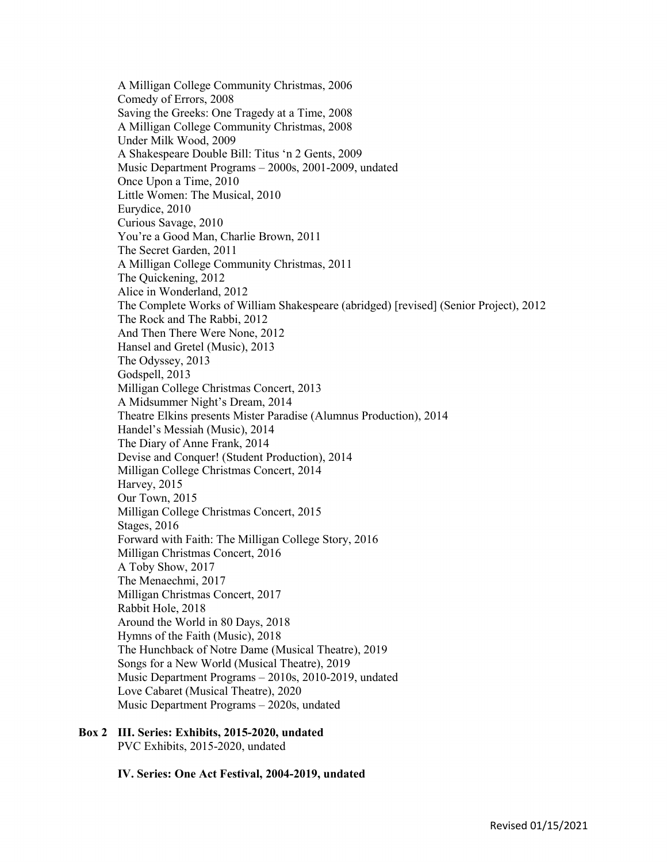A Milligan College Community Christmas, 2006 Comedy of Errors, 2008 Saving the Greeks: One Tragedy at a Time, 2008 A Milligan College Community Christmas, 2008 Under Milk Wood, 2009 A Shakespeare Double Bill: Titus 'n 2 Gents, 2009 Music Department Programs – 2000s, 2001-2009, undated Once Upon a Time, 2010 Little Women: The Musical, 2010 Eurydice, 2010 Curious Savage, 2010 You're a Good Man, Charlie Brown, 2011 The Secret Garden, 2011 A Milligan College Community Christmas, 2011 The Quickening, 2012 Alice in Wonderland, 2012 The Complete Works of William Shakespeare (abridged) [revised] (Senior Project), 2012 The Rock and The Rabbi, 2012 And Then There Were None, 2012 Hansel and Gretel (Music), 2013 The Odyssey, 2013 Godspell, 2013 Milligan College Christmas Concert, 2013 A Midsummer Night's Dream, 2014 Theatre Elkins presents Mister Paradise (Alumnus Production), 2014 Handel's Messiah (Music), 2014 The Diary of Anne Frank, 2014 Devise and Conquer! (Student Production), 2014 Milligan College Christmas Concert, 2014 Harvey, 2015 Our Town, 2015 Milligan College Christmas Concert, 2015 Stages, 2016 Forward with Faith: The Milligan College Story, 2016 Milligan Christmas Concert, 2016 A Toby Show, 2017 The Menaechmi, 2017 Milligan Christmas Concert, 2017 Rabbit Hole, 2018 Around the World in 80 Days, 2018 Hymns of the Faith (Music), 2018 The Hunchback of Notre Dame (Musical Theatre), 2019 Songs for a New World (Musical Theatre), 2019 Music Department Programs – 2010s, 2010-2019, undated Love Cabaret (Musical Theatre), 2020 Music Department Programs – 2020s, undated

Box 2 III. Series: Exhibits, 2015-2020, undated PVC Exhibits, 2015-2020, undated

IV. Series: One Act Festival, 2004-2019, undated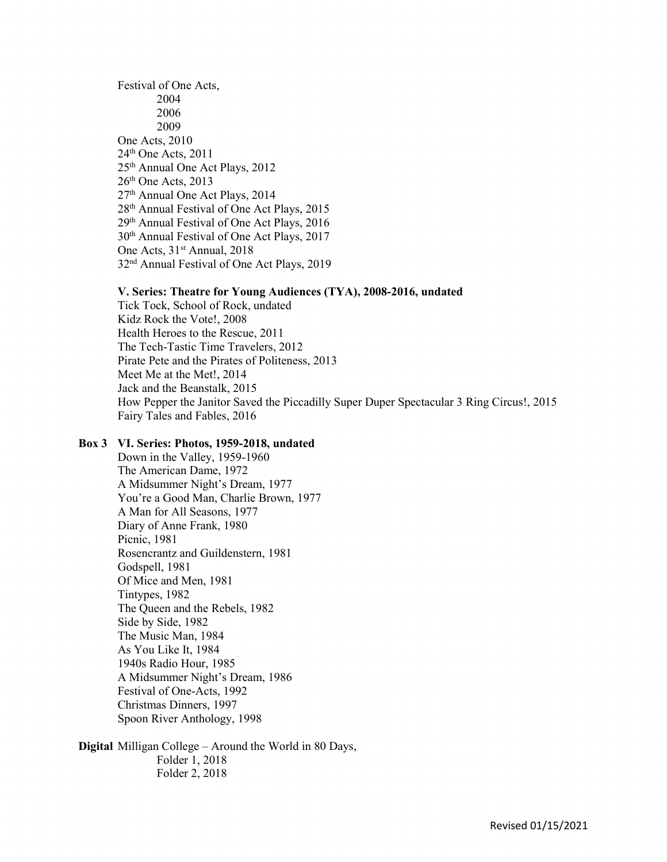Festival of One Acts, 2004 2006 2009 One Acts, 2010  $24<sup>th</sup>$  One Acts,  $2011$ 25<sup>th</sup> Annual One Act Plays, 2012  $26<sup>th</sup>$  One Acts, 2013 27th Annual One Act Plays, 2014 28th Annual Festival of One Act Plays, 2015 29th Annual Festival of One Act Plays, 2016 30th Annual Festival of One Act Plays, 2017 One Acts, 31<sup>st</sup> Annual, 2018 32nd Annual Festival of One Act Plays, 2019

#### V. Series: Theatre for Young Audiences (TYA), 2008-2016, undated

 Tick Tock, School of Rock, undated Kidz Rock the Vote!, 2008 Health Heroes to the Rescue, 2011 The Tech-Tastic Time Travelers, 2012 Pirate Pete and the Pirates of Politeness, 2013 Meet Me at the Met!, 2014 Jack and the Beanstalk, 2015 How Pepper the Janitor Saved the Piccadilly Super Duper Spectacular 3 Ring Circus!, 2015 Fairy Tales and Fables, 2016

### Box 3 VI. Series: Photos, 1959-2018, undated

Down in the Valley, 1959-1960 The American Dame, 1972 A Midsummer Night's Dream, 1977 You're a Good Man, Charlie Brown, 1977 A Man for All Seasons, 1977 Diary of Anne Frank, 1980 Picnic, 1981 Rosencrantz and Guildenstern, 1981 Godspell, 1981 Of Mice and Men, 1981 Tintypes, 1982 The Queen and the Rebels, 1982 Side by Side, 1982 The Music Man, 1984 As You Like It, 1984 1940s Radio Hour, 1985 A Midsummer Night's Dream, 1986 Festival of One-Acts, 1992 Christmas Dinners, 1997 Spoon River Anthology, 1998

Digital Milligan College – Around the World in 80 Days, Folder 1, 2018 Folder 2, 2018